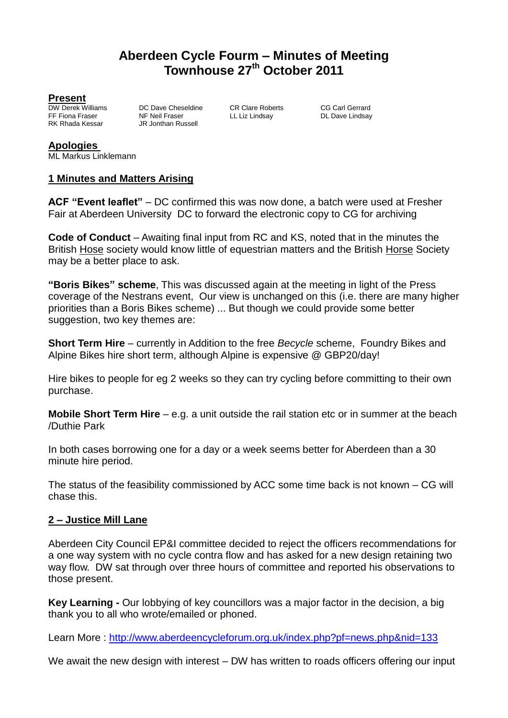# **Aberdeen Cycle Fourm – Minutes of Meeting Townhouse 27th October 2011**

**Present**<br>DW Derek Williams

DW Derek Williams DC Dave Cheseldine CR Clare Roberts CG Carl Gerrard<br>
FF Fiona Fraser NF Neil Fraser LL Liz Lindsay DL Dave Lindsay FF Fiona Fraser **NF Neil Fraser** LL Liz Lindsay **DL Dave Lindsay**<br>RK Rhada Kessar R. Lindshan Russell JR Jonthan Russell

#### **Apologies**

ML Markus Linklemann

#### **1 Minutes and Matters Arising**

**ACF "Event leaflet"** – DC confirmed this was now done, a batch were used at Fresher Fair at Aberdeen University DC to forward the electronic copy to CG for archiving

**Code of Conduct** – Awaiting final input from RC and KS, noted that in the minutes the British Hose society would know little of equestrian matters and the British Horse Society may be a better place to ask.

**"Boris Bikes" scheme**, This was discussed again at the meeting in light of the Press coverage of the Nestrans event, Our view is unchanged on this (i.e. there are many higher priorities than a Boris Bikes scheme) ... But though we could provide some better suggestion, two key themes are:

**Short Term Hire** – currently in Addition to the free *Becycle* scheme, Foundry Bikes and Alpine Bikes hire short term, although Alpine is expensive @ GBP20/day!

Hire bikes to people for eg 2 weeks so they can try cycling before committing to their own purchase.

**Mobile Short Term Hire** – e.g. a unit outside the rail station etc or in summer at the beach /Duthie Park

In both cases borrowing one for a day or a week seems better for Aberdeen than a 30 minute hire period.

The status of the feasibility commissioned by ACC some time back is not known – CG will chase this.

#### **2 – Justice Mill Lane**

Aberdeen City Council EP&I committee decided to reject the officers recommendations for a one way system with no cycle contra flow and has asked for a new design retaining two way flow. DW sat through over three hours of committee and reported his observations to those present.

**Key Learning -** Our lobbying of key councillors was a major factor in the decision, a big thank you to all who wrote/emailed or phoned.

Learn More :<http://www.aberdeencycleforum.org.uk/index.php?pf=news.php&nid=133>

We await the new design with interest – DW has written to roads officers offering our input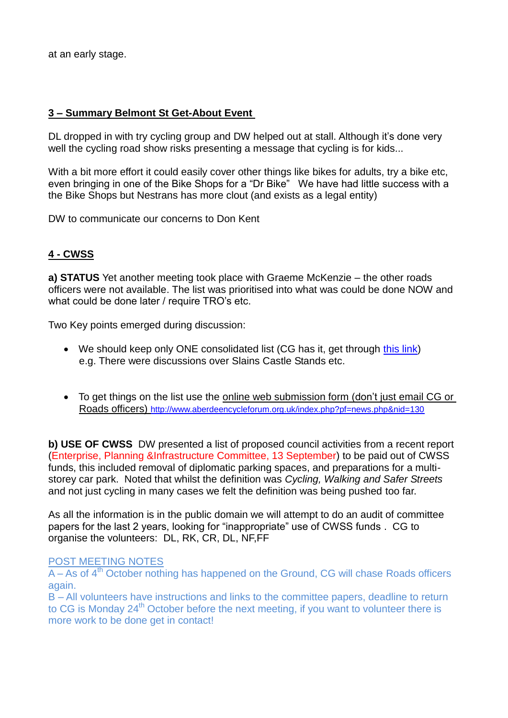at an early stage.

## **3 – Summary Belmont St Get-About Event**

DL dropped in with try cycling group and DW helped out at stall. Although it's done very well the cycling road show risks presenting a message that cycling is for kids...

With a bit more effort it could easily cover other things like bikes for adults, try a bike etc. even bringing in one of the Bike Shops for a "Dr Bike" We have had little success with a the Bike Shops but Nestrans has more clout (and exists as a legal entity)

DW to communicate our concerns to Don Kent

## **4 - CWSS**

**a) STATUS** Yet another meeting took place with Graeme McKenzie – the other roads officers were not available. The list was prioritised into what was could be done NOW and what could be done later / require TRO's etc.

Two Key points emerged during discussion:

- We should keep only ONE consolidated list (CG has it, get through [this](http://www.aberdeencycleforum.org.uk/include/resources/201112_cwss_list_latest.doc) link) e.g. There were discussions over Slains Castle Stands etc.
- To get things on the list use the online web submission form (don't just email CG or Roads officers) <http://www.aberdeencycleforum.org.uk/index.php?pf=news.php&nid=130>

**b) USE OF CWSS** DW presented a list of proposed council activities from a recent report (Enterprise, Planning &Infrastructure Committee, 13 September) to be paid out of CWSS funds, this included removal of diplomatic parking spaces, and preparations for a multistorey car park. Noted that whilst the definition was *Cycling, Walking and Safer Streets* and not just cycling in many cases we felt the definition was being pushed too far.

As all the information is in the public domain we will attempt to do an audit of committee papers for the last 2 years, looking for "inappropriate" use of CWSS funds . CG to organise the volunteers: DL, RK, CR, DL, NF,FF

#### POST MEETING NOTES

 $\overline{A - As}$  of  $4^{\text{th}}$  October nothing has happened on the Ground, CG will chase Roads officers again.

B – All volunteers have instructions and links to the committee papers, deadline to return to CG is Monday 24<sup>th</sup> October before the next meeting, if you want to volunteer there is more work to be done get in contact!